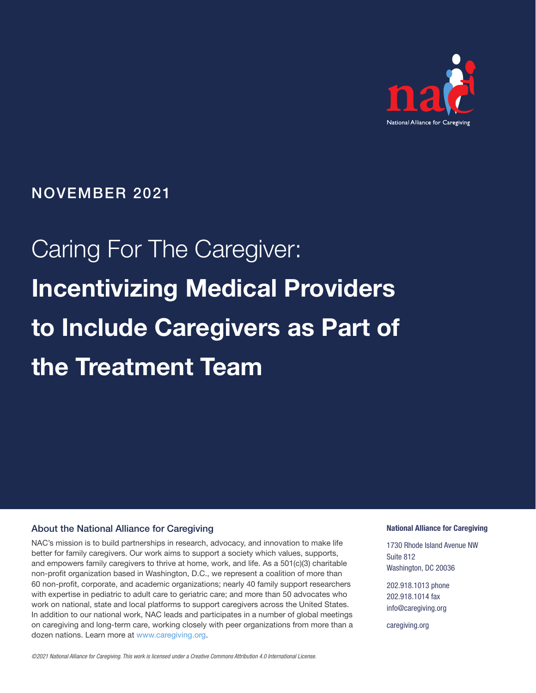

# NOVEMBER 2021

# Caring For The Caregiver: Incentivizing Medical Providers to Include Caregivers as Part of the Treatment Team

#### About the National Alliance for Caregiving

NAC's mission is to build partnerships in research, advocacy, and innovation to make life better for family caregivers. Our work aims to support a society which values, supports, and empowers family caregivers to thrive at home, work, and life. As a 501(c)(3) charitable non-profit organization based in Washington, D.C., we represent a coalition of more than 60 non-profit, corporate, and academic organizations; nearly 40 family support researchers with expertise in pediatric to adult care to geriatric care; and more than 50 advocates who work on national, state and local platforms to support caregivers across the United States. In addition to our national work, NAC leads and participates in a number of global meetings on caregiving and long-term care, working closely with peer organizations from more than a dozen nations. Learn more at [www.caregiving.org](http://www.caregiving.org).

#### National Alliance for Caregiving

1730 Rhode Island Avenue NW Suite 812 Washington, DC 20036

202.918.1013 phone 202.918.1014 fax info@caregiving.org

caregiving.org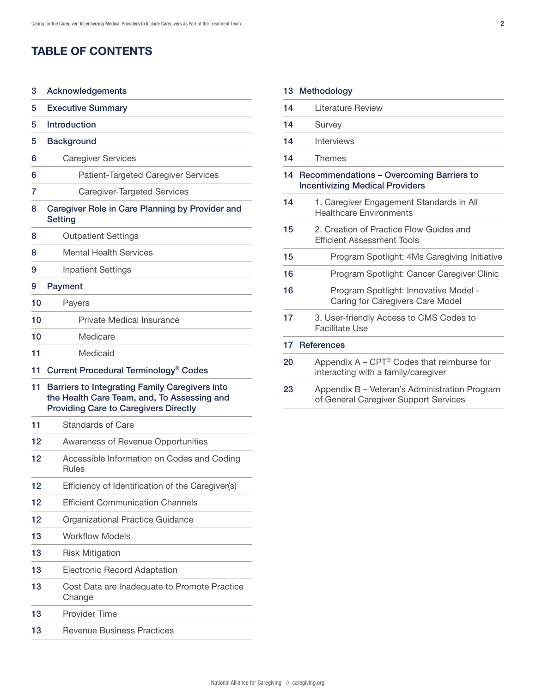# TABLE OF CONTENTS

| 3  | Acknowledgements                                                                                                                              |  |
|----|-----------------------------------------------------------------------------------------------------------------------------------------------|--|
| 5  | <b>Executive Summary</b>                                                                                                                      |  |
| 5  | <b>Introduction</b>                                                                                                                           |  |
| 5  | <b>Background</b>                                                                                                                             |  |
| 6  | <b>Caregiver Services</b>                                                                                                                     |  |
| 6  | <b>Patient-Targeted Caregiver Services</b>                                                                                                    |  |
| 7  | Caregiver-Targeted Services                                                                                                                   |  |
| 8  | Caregiver Role in Care Planning by Provider and<br><b>Setting</b>                                                                             |  |
| 8  | <b>Outpatient Settings</b>                                                                                                                    |  |
| 8  | <b>Mental Health Services</b>                                                                                                                 |  |
| 9  | <b>Inpatient Settings</b>                                                                                                                     |  |
| 9  | Payment                                                                                                                                       |  |
| 10 | Payers                                                                                                                                        |  |
| 10 | <b>Private Medical Insurance</b>                                                                                                              |  |
| 10 | Medicare                                                                                                                                      |  |
| 11 | Medicaid                                                                                                                                      |  |
| 11 | Current Procedural Terminology <sup>®</sup> Codes                                                                                             |  |
| 11 | Barriers to Integrating Family Caregivers into<br>the Health Care Team, and, To Assessing and<br><b>Providing Care to Caregivers Directly</b> |  |
| 11 | Standards of Care                                                                                                                             |  |
| 12 | Awareness of Revenue Opportunities                                                                                                            |  |
| 12 | Accessible Information on Codes and Coding<br><b>Rules</b>                                                                                    |  |
| 12 | Efficiency of Identification of the Caregiver(s)                                                                                              |  |
| 12 | <b>Efficient Communication Channels</b>                                                                                                       |  |
| 12 | Organizational Practice Guidance                                                                                                              |  |
| 13 | <b>Workflow Models</b>                                                                                                                        |  |
|    |                                                                                                                                               |  |

| 13 |  | <b>Risk Mitigation</b> |
|----|--|------------------------|
|----|--|------------------------|

- [Electronic Record Adaptation](#page-12-0) 13
- [Cost Data are Inadequate to Promote Practice](#page-12-0)  [Change](#page-12-0) 13
- [Provider Time](#page-12-0) [13](#page-12-0)
- [Revenue Business Practices](#page-12-0) 13

|    | 13 Methodology    |
|----|-------------------|
| 14 | Literature Review |
| 14 | Survey            |
| 14 | <b>Interviews</b> |

[Themes](#page-13-0) 1[4](#page-13-0)

1[4](#page-13-0) 1[4](#page-13-0) 1[4](#page-13-0)

#### [1](#page-13-0)4 Recommendations - Overcoming Barriers to [Incentivizing Medical Providers](#page-13-0)

- [1. Caregiver Engagement Standards in All](#page-13-0)  [Healthcare Environments](#page-13-0)  [14](#page-13-0)
- [2. Creation of Practice Flow Guides and](#page-14-0)  [Efficient Assessment Tools](#page-14-0)  1[5](#page-14-0)
- [Program Spotlight: 4Ms Caregiving Initiative](#page-14-0)  1[5](#page-14-0)
- [Program Spotlight: Cancer Caregiver Clinic](#page-15-0) 1[6](#page-15-0)
- [Program Spotlight: Innovative Model](#page-15-0)  [Caring for Caregivers Care Model](#page-15-0)  [16](#page-15-0)
- [3. User-friendly Access to CMS Codes to](#page-16-0)  [Facilitate Use](#page-16-0)  [17](#page-16-0)

#### 17 [References](#page-16-0)

- [Appendix A CPT® Codes that reimburse for](#page-19-0)  [interacting with a family/caregiver](#page-19-0) [20](#page-19-0)
- [Appendix B Veteran's Administration Program](#page-22-0)  [of General Caregiver Support Services](#page-22-0) [23](#page-22-0)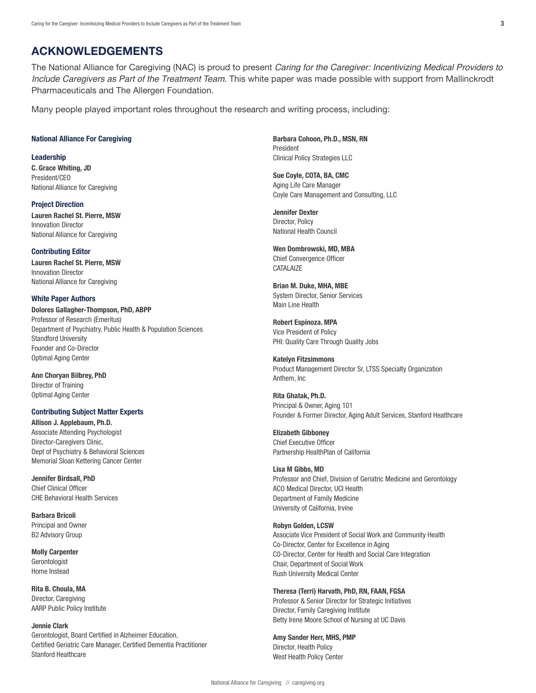# <span id="page-2-0"></span>ACKNOWLEDGEMENTS

The National Alliance for Caregiving (NAC) is proud to present *Caring for the Caregiver: Incentivizing Medical Providers to Include Caregivers as Part of the Treatment Team*. This white paper was made possible with support from Mallinckrodt Pharmaceuticals and The Allergen Foundation.

Many people played important roles throughout the research and writing process, including:

#### National Alliance For Caregiving

Leadership C. Grace Whiting, JD President/CEO National Alliance for Caregiving

Project Direction Lauren Rachel St. Pierre, MSW Innovation Director National Alliance for Caregiving

#### Contributing Editor

Lauren Rachel St. Pierre, MSW Innovation Director National Alliance for Caregiving

#### White Paper Authors

Dolores Gallagher-Thompson, PhD, ABPP Professor of Research (Emeritus) Department of Psychiatry, Public Health & Population Sciences Standford University Founder and Co-Director Optimal Aging Center

Ann Choryan Bilbrey, PhD Director of Training Optimal Aging Center

#### Contributing Subject Matter Experts

Allison J. Applebaum, Ph.D. Associate Attending Psychologist Director-Caregivers Clinic, Dept of Psychiatry & Behavioral Sciences Memorial Sloan Kettering Cancer Center

Jennifer Birdsall, PhD Chief Clinical Officer CHE Behavioral Health Services

Barbara Bricoli Principal and Owner B2 Advisory Group

Molly Carpenter **Gerontologist** Home Instead

Rita B. Choula, MA Director, Caregiving AARP Public Policy Institute

#### Jennie Clark

Gerontologist, Board Certified in Alzheimer Education, Certified Geriatric Care Manager, Certified Dementia Practitioner Stanford Healthcare

Barbara Cohoon, Ph.D., MSN, RN President Clinical Policy Strategies LLC

Sue Coyle, COTA, BA, CMC Aging Life Care Manager Coyle Care Management and Consulting, LLC

Jennifer Dexter Director, Policy National Health Council

Wen Dombrowski, MD, MBA Chief Convergence Officer **CATALAIZE** 

Brian M. Duke, MHA, MBE System Director, Senior Services Main Line Health

Robert Espinoza. MPA Vice President of Policy PHI: Quality Care Through Quality Jobs

Katelyn Fitzsimmons Product Management Director Sr, LTSS Specialty Organization Anthem, Inc

Rita Ghatak, Ph.D. Principal & Owner, Aging 101 Founder & Former Director, Aging Adult Services, Stanford Healthcare

Elizabeth Gibboney Chief Executive Officer Partnership HealthPlan of California

Lisa M Gibbs, MD Professor and Chief, Division of Geriatric Medicine and Gerontology ACO Medical Director, UCI Health Department of Family Medicine University of California, Irvine

#### Robyn Golden, LCSW

Associate Vice President of Social Work and Community Health Co-Director, Center for Excellence in Aging C0-Director, Center for Health and Social Care Integration Chair, Department of Social Work Rush University Medical Center

Theresa (Terri) Harvath, PhD, RN, FAAN, FGSA Professor & Senior Director for Strategic Initiatives Director, Family Caregiving Institute Betty Irene Moore School of Nursing at UC Davis

Amy Sander Herr, MHS, PMP Director, Health Policy West Health Policy Center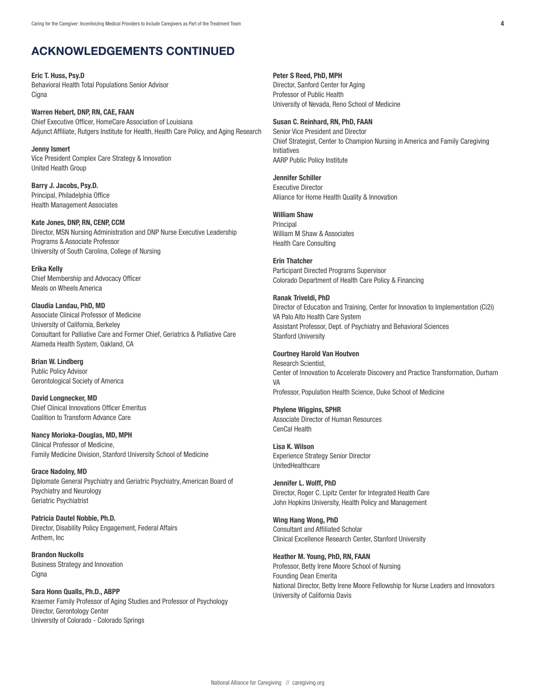# ACKNOWLEDGEMENTS CONTINUED

Eric T. Huss, Psy.D Behavioral Health Total Populations Senior Advisor **Cigna** 

Warren Hebert, DNP, RN, CAE, FAAN Chief Executive Officer, HomeCare Association of Louisiana Adjunct Affiliate, Rutgers Institute for Health, Health Care Policy, and Aging Research

Jenny Ismert Vice President Complex Care Strategy & Innovation United Health Group

Barry J. Jacobs, Psy.D. Principal, Philadelphia Office Health Management Associates

Kate Jones, DNP, RN, CENP, CCM Director, MSN Nursing Administration and DNP Nurse Executive Leadership Programs & Associate Professor University of South Carolina, College of Nursing

Erika Kelly Chief Membership and Advocacy Officer Meals on Wheels America

Claudia Landau, PhD, MD Associate Clinical Professor of Medicine University of California, Berkeley Consultant for Palliative Care and Former Chief, Geriatrics & Palliative Care Alameda Health System, Oakland, CA

Brian W. Lindberg Public Policy Advisor Gerontological Society of America

David Longnecker, MD Chief Clinical Innovations Officer Emeritus Coalition to Transform Advance Care

Nancy Morioka-Douglas, MD, MPH Clinical Professor of Medicine, Family Medicine Division, Stanford University School of Medicine

Grace Nadolny, MD Diplomate General Psychiatry and Geriatric Psychiatry, American Board of Psychiatry and Neurology Geriatric Psychiatrist

Patricia Dautel Nobbie, Ph.D. Director, Disability Policy Engagement, Federal Affairs Anthem, Inc

Brandon Nuckolls Business Strategy and Innovation Cigna

Sara Honn Qualls, Ph.D., ABPP Kraemer Family Professor of Aging Studies and Professor of Psychology Director, Gerontology Center University of Colorado - Colorado Springs

Peter S Reed, PhD, MPH

Director, Sanford Center for Aging Professor of Public Health University of Nevada, Reno School of Medicine

#### Susan C. Reinhard, RN, PhD, FAAN

Senior Vice President and Director Chief Strategist, Center to Champion Nursing in America and Family Caregiving Initiatives AARP Public Policy Institute

#### Jennifer Schiller

Executive Director Alliance for Home Health Quality & Innovation

#### William Shaw

Principal William M Shaw & Associates Health Care Consulting

Erin Thatcher Participant Directed Programs Supervisor Colorado Department of Health Care Policy & Financing

#### Ranak Triveldi, PhD

Director of Education and Training, Center for Innovation to Implementation (Ci2i) VA Palo Alto Health Care System Assistant Professor, Dept. of Psychiatry and Behavioral Sciences Stanford University

#### Courtney Harold Van Houtven

Research Scientist, Center of Innovation to Accelerate Discovery and Practice Transformation, Durham VA Professor, Population Health Science, Duke School of Medicine

#### Phylene Wiggins, SPHR

Associate Director of Human Resources CenCal Health

Lisa K. Wilson Experience Strategy Senior Director UnitedHealthcare

Jennifer L. Wolff, PhD Director, Roger C. Lipitz Center for Integrated Health Care John Hopkins University, Health Policy and Management

Wing Hang Wong, PhD Consultant and Affiliated Scholar Clinical Excellence Research Center, Stanford University

Heather M. Young, PhD, RN, FAAN Professor, Betty Irene Moore School of Nursing Founding Dean Emerita National Director, Betty Irene Moore Fellowship for Nurse Leaders and Innovators University of California Davis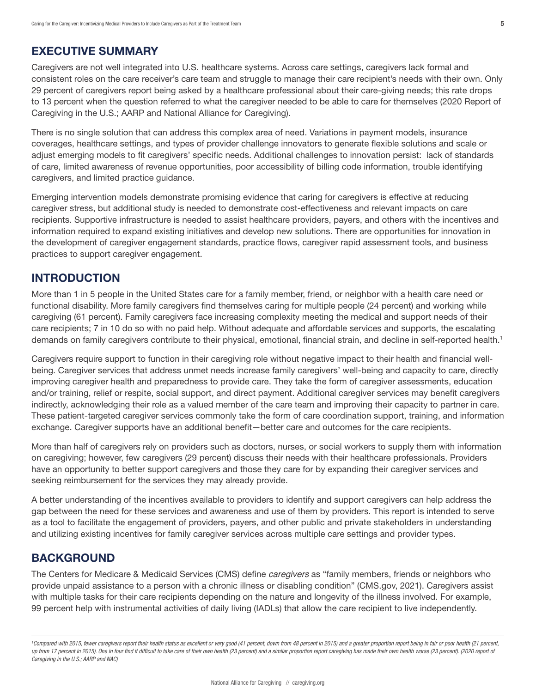# <span id="page-4-0"></span>EXECUTIVE SUMMARY

Caregivers are not well integrated into U.S. healthcare systems. Across care settings, caregivers lack formal and consistent roles on the care receiver's care team and struggle to manage their care recipient's needs with their own. Only 29 percent of caregivers report being asked by a healthcare professional about their care-giving needs; this rate drops to 13 percent when the question referred to what the caregiver needed to be able to care for themselves (2020 Report of Caregiving in the U.S.; AARP and National Alliance for Caregiving).

There is no single solution that can address this complex area of need. Variations in payment models, insurance coverages, healthcare settings, and types of provider challenge innovators to generate flexible solutions and scale or adjust emerging models to fit caregivers' specific needs. Additional challenges to innovation persist: lack of standards of care, limited awareness of revenue opportunities, poor accessibility of billing code information, trouble identifying caregivers, and limited practice guidance.

Emerging intervention models demonstrate promising evidence that caring for caregivers is effective at reducing caregiver stress, but additional study is needed to demonstrate cost-effectiveness and relevant impacts on care recipients. Supportive infrastructure is needed to assist healthcare providers, payers, and others with the incentives and information required to expand existing initiatives and develop new solutions. There are opportunities for innovation in the development of caregiver engagement standards, practice flows, caregiver rapid assessment tools, and business practices to support caregiver engagement.

# INTRODUCTION

More than 1 in 5 people in the United States care for a family member, friend, or neighbor with a health care need or functional disability. More family caregivers find themselves caring for multiple people (24 percent) and working while caregiving (61 percent). Family caregivers face increasing complexity meeting the medical and support needs of their care recipients; 7 in 10 do so with no paid help. Without adequate and affordable services and supports, the escalating demands on family caregivers contribute to their physical, emotional, financial strain, and decline in self-reported health.<sup>1</sup>

Caregivers require support to function in their caregiving role without negative impact to their health and financial wellbeing. Caregiver services that address unmet needs increase family caregivers' well-being and capacity to care, directly improving caregiver health and preparedness to provide care. They take the form of caregiver assessments, education and/or training, relief or respite, social support, and direct payment. Additional caregiver services may benefit caregivers indirectly, acknowledging their role as a valued member of the care team and improving their capacity to partner in care. These patient-targeted caregiver services commonly take the form of care coordination support, training, and information exchange. Caregiver supports have an additional benefit—better care and outcomes for the care recipients.

More than half of caregivers rely on providers such as doctors, nurses, or social workers to supply them with information on caregiving; however, few caregivers (29 percent) discuss their needs with their healthcare professionals. Providers have an opportunity to better support caregivers and those they care for by expanding their caregiver services and seeking reimbursement for the services they may already provide.

A better understanding of the incentives available to providers to identify and support caregivers can help address the gap between the need for these services and awareness and use of them by providers. This report is intended to serve as a tool to facilitate the engagement of providers, payers, and other public and private stakeholders in understanding and utilizing existing incentives for family caregiver services across multiple care settings and provider types.

# **BACKGROUND**

The Centers for Medicare & Medicaid Services (CMS) define *caregivers* as "family members, friends or neighbors who provide unpaid assistance to a person with a chronic illness or disabling condition" (CMS.gov, 2021). Caregivers assist with multiple tasks for their care recipients depending on the nature and longevity of the illness involved. For example, 99 percent help with instrumental activities of daily living (IADLs) that allow the care recipient to live independently.

<sup>&</sup>lt;sup>1</sup>Compared with 2015, fewer caregivers report their health status as excellent or very good (41 percent, down from 48 percent in 2015) and a greater proportion report being in fair or poor health (21 percent, up from 17 percent in 2015). One in four find it difficult to take care of their own health (23 percent). detain a percent and a similar proportion report caregiving has made their own health worse (23 percent). (2020 repo *Caregiving in the U.S.; AARP and NAC)*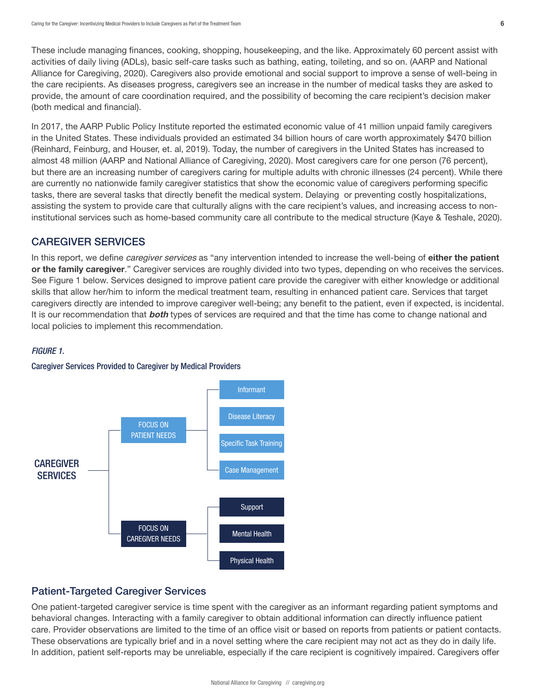<span id="page-5-0"></span>These include managing finances, cooking, shopping, housekeeping, and the like. Approximately 60 percent assist with activities of daily living (ADLs), basic self-care tasks such as bathing, eating, toileting, and so on. (AARP and National Alliance for Caregiving, 2020). Caregivers also provide emotional and social support to improve a sense of well-being in the care recipients. As diseases progress, caregivers see an increase in the number of medical tasks they are asked to provide, the amount of care coordination required, and the possibility of becoming the care recipient's decision maker (both medical and financial).

In 2017, the AARP Public Policy Institute reported the estimated economic value of 41 million unpaid family caregivers in the United States. These individuals provided an estimated 34 billion hours of care worth approximately \$470 billion (Reinhard, Feinburg, and Houser, et. al, 2019). Today, the number of caregivers in the United States has increased to almost 48 million (AARP and National Alliance of Caregiving, 2020). Most caregivers care for one person (76 percent), but there are an increasing number of caregivers caring for multiple adults with chronic illnesses (24 percent). While there are currently no nationwide family caregiver statistics that show the economic value of caregivers performing specific tasks, there are several tasks that directly benefit the medical system. Delaying or preventing costly hospitalizations, assisting the system to provide care that culturally aligns with the care recipient's values, and increasing access to noninstitutional services such as home-based community care all contribute to the medical structure (Kaye & Teshale, 2020).

## CAREGIVER SERVICES

In this report, we define *caregiver services* as "any intervention intended to increase the well-being of either the patient or the family caregiver." Caregiver services are roughly divided into two types, depending on who receives the services. See Figure 1 below. Services designed to improve patient care provide the caregiver with either knowledge or additional skills that allow her/him to inform the medical treatment team, resulting in enhanced patient care. Services that target caregivers directly are intended to improve caregiver well-being; any benefit to the patient, even if expected, is incidental. It is our recommendation that **both** types of services are required and that the time has come to change national and local policies to implement this recommendation.

#### *FIGURE 1.*





## Patient-Targeted Caregiver Services

One patient-targeted caregiver service is time spent with the caregiver as an informant regarding patient symptoms and behavioral changes. Interacting with a family caregiver to obtain additional information can directly influence patient care. Provider observations are limited to the time of an office visit or based on reports from patients or patient contacts. These observations are typically brief and in a novel setting where the care recipient may not act as they do in daily life. In addition, patient self-reports may be unreliable, especially if the care recipient is cognitively impaired. Caregivers offer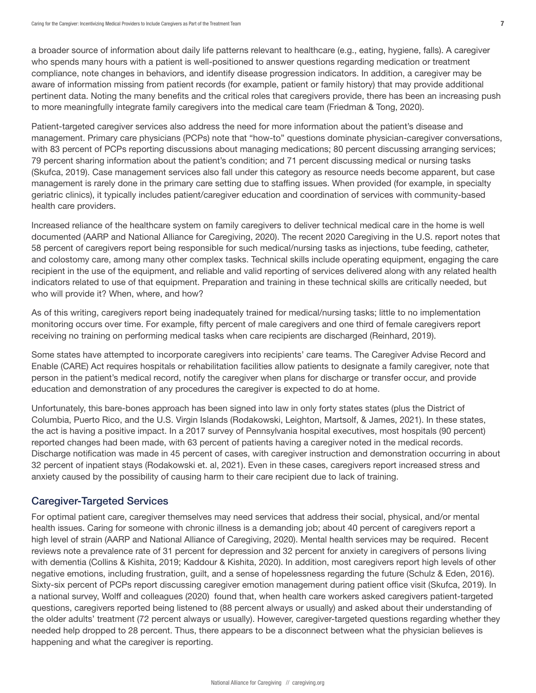<span id="page-6-0"></span>a broader source of information about daily life patterns relevant to healthcare (e.g., eating, hygiene, falls). A caregiver who spends many hours with a patient is well-positioned to answer questions regarding medication or treatment compliance, note changes in behaviors, and identify disease progression indicators. In addition, a caregiver may be aware of information missing from patient records (for example, patient or family history) that may provide additional pertinent data. Noting the many benefits and the critical roles that caregivers provide, there has been an increasing push to more meaningfully integrate family caregivers into the medical care team (Friedman & Tong, 2020).

Patient-targeted caregiver services also address the need for more information about the patient's disease and management. Primary care physicians (PCPs) note that "how-to" questions dominate physician-caregiver conversations, with 83 percent of PCPs reporting discussions about managing medications; 80 percent discussing arranging services; 79 percent sharing information about the patient's condition; and 71 percent discussing medical or nursing tasks (Skufca, 2019). Case management services also fall under this category as resource needs become apparent, but case management is rarely done in the primary care setting due to staffing issues. When provided (for example, in specialty geriatric clinics), it typically includes patient/caregiver education and coordination of services with community-based health care providers.

Increased reliance of the healthcare system on family caregivers to deliver technical medical care in the home is well documented (AARP and National Alliance for Caregiving, 2020). The recent 2020 Caregiving in the U.S. report notes that 58 percent of caregivers report being responsible for such medical/nursing tasks as injections, tube feeding, catheter, and colostomy care, among many other complex tasks. Technical skills include operating equipment, engaging the care recipient in the use of the equipment, and reliable and valid reporting of services delivered along with any related health indicators related to use of that equipment. Preparation and training in these technical skills are critically needed, but who will provide it? When, where, and how?

As of this writing, caregivers report being inadequately trained for medical/nursing tasks; little to no implementation monitoring occurs over time. For example, fifty percent of male caregivers and one third of female caregivers report receiving no training on performing medical tasks when care recipients are discharged (Reinhard, 2019).

Some states have attempted to incorporate caregivers into recipients' care teams. The Caregiver Advise Record and Enable (CARE) Act requires hospitals or rehabilitation facilities allow patients to designate a family caregiver, note that person in the patient's medical record, notify the caregiver when plans for discharge or transfer occur, and provide education and demonstration of any procedures the caregiver is expected to do at home.

Unfortunately, this bare-bones approach has been signed into law in only forty states states (plus the District of Columbia, Puerto Rico, and the U.S. Virgin Islands (Rodakowski, Leighton, Martsolf, & James, 2021). In these states, the act is having a positive impact. In a 2017 survey of Pennsylvania hospital executives, most hospitals (90 percent) reported changes had been made, with 63 percent of patients having a caregiver noted in the medical records. Discharge notification was made in 45 percent of cases, with caregiver instruction and demonstration occurring in about 32 percent of inpatient stays (Rodakowski et. al, 2021). Even in these cases, caregivers report increased stress and anxiety caused by the possibility of causing harm to their care recipient due to lack of training.

## Caregiver-Targeted Services

For optimal patient care, caregiver themselves may need services that address their social, physical, and/or mental health issues. Caring for someone with chronic illness is a demanding job; about 40 percent of caregivers report a high level of strain (AARP and National Alliance of Caregiving, 2020). Mental health services may be required. Recent reviews note a prevalence rate of 31 percent for depression and 32 percent for anxiety in caregivers of persons living with dementia (Collins & Kishita, 2019; Kaddour & Kishita, 2020). In addition, most caregivers report high levels of other negative emotions, including frustration, guilt, and a sense of hopelessness regarding the future (Schulz & Eden, 2016). Sixty-six percent of PCPs report discussing caregiver emotion management during patient office visit (Skufca, 2019). In a national survey, Wolff and colleagues (2020) found that, when health care workers asked caregivers patient-targeted questions, caregivers reported being listened to (88 percent always or usually) and asked about their understanding of the older adults' treatment (72 percent always or usually). However, caregiver-targeted questions regarding whether they needed help dropped to 28 percent. Thus, there appears to be a disconnect between what the physician believes is happening and what the caregiver is reporting.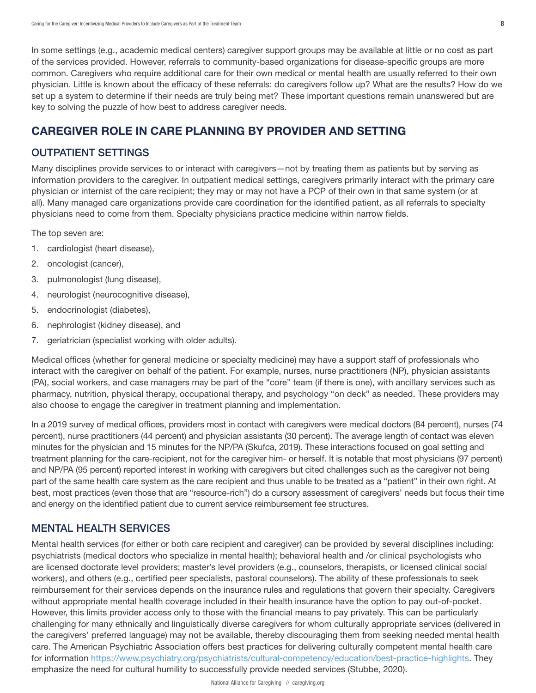<span id="page-7-0"></span>In some settings (e.g., academic medical centers) caregiver support groups may be available at little or no cost as part of the services provided. However, referrals to community-based organizations for disease-specific groups are more common. Caregivers who require additional care for their own medical or mental health are usually referred to their own physician. Little is known about the efficacy of these referrals: do caregivers follow up? What are the results? How do we set up a system to determine if their needs are truly being met? These important questions remain unanswered but are key to solving the puzzle of how best to address caregiver needs.

# CAREGIVER ROLE IN CARE PLANNING BY PROVIDER AND SETTING

## OUTPATIENT SETTINGS

Many disciplines provide services to or interact with caregivers—not by treating them as patients but by serving as information providers to the caregiver. In outpatient medical settings, caregivers primarily interact with the primary care physician or internist of the care recipient; they may or may not have a PCP of their own in that same system (or at all). Many managed care organizations provide care coordination for the identified patient, as all referrals to specialty physicians need to come from them. Specialty physicians practice medicine within narrow fields.

The top seven are:

- 1. cardiologist (heart disease),
- 2. oncologist (cancer),
- 3. pulmonologist (lung disease),
- 4. neurologist (neurocognitive disease),
- 5. endocrinologist (diabetes),
- 6. nephrologist (kidney disease), and
- 7. geriatrician (specialist working with older adults).

Medical offices (whether for general medicine or specialty medicine) may have a support staff of professionals who interact with the caregiver on behalf of the patient. For example, nurses, nurse practitioners (NP), physician assistants (PA), social workers, and case managers may be part of the "core" team (if there is one), with ancillary services such as pharmacy, nutrition, physical therapy, occupational therapy, and psychology "on deck" as needed. These providers may also choose to engage the caregiver in treatment planning and implementation.

In a 2019 survey of medical offices, providers most in contact with caregivers were medical doctors (84 percent), nurses (74 percent), nurse practitioners (44 percent) and physician assistants (30 percent). The average length of contact was eleven minutes for the physician and 15 minutes for the NP/PA (Skufca, 2019). These interactions focused on goal setting and treatment planning for the care-recipient, not for the caregiver him- or herself. It is notable that most physicians (97 percent) and NP/PA (95 percent) reported interest in working with caregivers but cited challenges such as the caregiver not being part of the same health care system as the care recipient and thus unable to be treated as a "patient" in their own right. At best, most practices (even those that are "resource-rich") do a cursory assessment of caregivers' needs but focus their time and energy on the identified patient due to current service reimbursement fee structures.

# MENTAL HEALTH SERVICES

Mental health services (for either or both care recipient and caregiver) can be provided by several disciplines including: psychiatrists (medical doctors who specialize in mental health); behavioral health and /or clinical psychologists who are licensed doctorate level providers; master's level providers (e.g., counselors, therapists, or licensed clinical social workers), and others (e.g., certified peer specialists, pastoral counselors). The ability of these professionals to seek reimbursement for their services depends on the insurance rules and regulations that govern their specialty. Caregivers without appropriate mental health coverage included in their health insurance have the option to pay out-of-pocket. However, this limits provider access only to those with the financial means to pay privately. This can be particularly challenging for many ethnically and linguistically diverse caregivers for whom culturally appropriate services (delivered in the caregivers' preferred language) may not be available, thereby discouraging them from seeking needed mental health care. The American Psychiatric Association offers best practices for delivering culturally competent mental health care for information [https://www.psychiatry.org/psychiatrists/cultural-competency/education/best-practice-highlights.](https://www.psychiatry.org/psychiatrists/cultural-competency/education/best-practice-highlights) They emphasize the need for cultural humility to successfully provide needed services (Stubbe, 2020).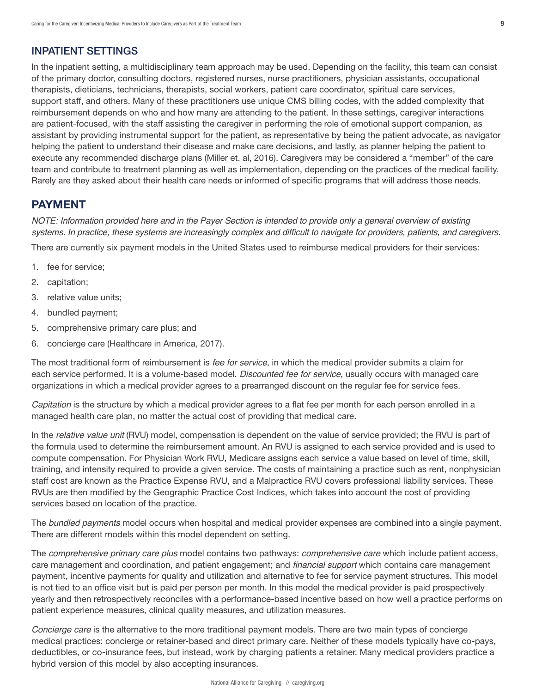## <span id="page-8-0"></span>INPATIENT SETTINGS

In the inpatient setting, a multidisciplinary team approach may be used. Depending on the facility, this team can consist of the primary doctor, consulting doctors, registered nurses, nurse practitioners, physician assistants, occupational therapists, dieticians, technicians, therapists, social workers, patient care coordinator, spiritual care services, support staff, and others. Many of these practitioners use unique CMS billing codes, with the added complexity that reimbursement depends on who and how many are attending to the patient. In these settings, caregiver interactions are patient-focused, with the staff assisting the caregiver in performing the role of emotional support companion, as assistant by providing instrumental support for the patient, as representative by being the patient advocate, as navigator helping the patient to understand their disease and make care decisions, and lastly, as planner helping the patient to execute any recommended discharge plans (Miller et. al, 2016). Caregivers may be considered a "member" of the care team and contribute to treatment planning as well as implementation, depending on the practices of the medical facility. Rarely are they asked about their health care needs or informed of specific programs that will address those needs.

# PAYMENT

*NOTE: Information provided here and in the Payer Section is intended to provide only a general overview of existing*  systems. In practice, these systems are increasingly complex and difficult to navigate for providers, patients, and caregivers.

There are currently six payment models in the United States used to reimburse medical providers for their services:

- 1. fee for service;
- 2. capitation;
- 3. relative value units;
- 4. bundled payment;
- 5. comprehensive primary care plus; and
- 6. concierge care (Healthcare in America, 2017).

The most traditional form of reimbursement is *fee for service*, in which the medical provider submits a claim for each service performed. It is a volume-based model. *Discounted fee for service*, usually occurs with managed care organizations in which a medical provider agrees to a prearranged discount on the regular fee for service fees.

*Capitation* is the structure by which a medical provider agrees to a flat fee per month for each person enrolled in a managed health care plan, no matter the actual cost of providing that medical care.

In the *relative value unit* (RVU) model, compensation is dependent on the value of service provided; the RVU is part of the formula used to determine the reimbursement amount. An RVU is assigned to each service provided and is used to compute compensation. For Physician Work RVU, Medicare assigns each service a value based on level of time, skill, training, and intensity required to provide a given service. The costs of maintaining a practice such as rent, nonphysician staff cost are known as the Practice Expense RVU, and a Malpractice RVU covers professional liability services. These RVUs are then modified by the Geographic Practice Cost Indices, which takes into account the cost of providing services based on location of the practice.

The *bundled payments* model occurs when hospital and medical provider expenses are combined into a single payment. There are different models within this model dependent on setting.

The *comprehensive primary care plus* model contains two pathways: *comprehensive care* which include patient access, care management and coordination, and patient engagement; and financial support which contains care management payment, incentive payments for quality and utilization and alternative to fee for service payment structures. This model is not tied to an office visit but is paid per person per month. In this model the medical provider is paid prospectively yearly and then retrospectively reconciles with a performance-based incentive based on how well a practice performs on patient experience measures, clinical quality measures, and utilization measures.

*Concierge care* is the alternative to the more traditional payment models. There are two main types of concierge medical practices: concierge or retainer-based and direct primary care. Neither of these models typically have co-pays, deductibles, or co-insurance fees, but instead, work by charging patients a retainer. Many medical providers practice a hybrid version of this model by also accepting insurances.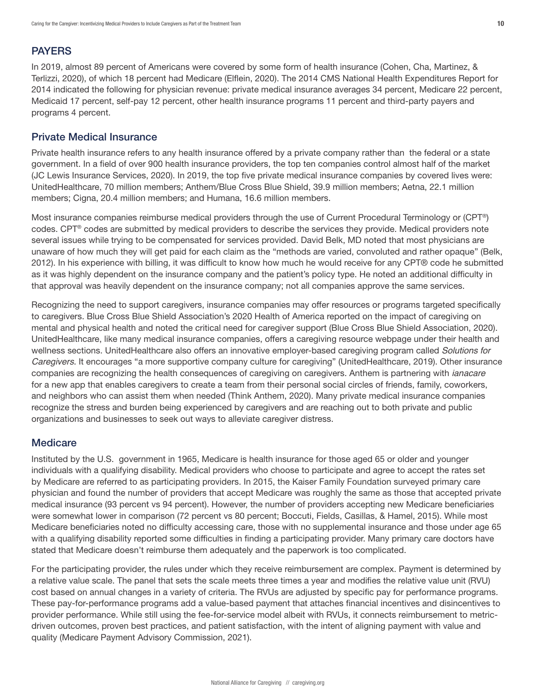# <span id="page-9-0"></span>PAYERS

In 2019, almost 89 percent of Americans were covered by some form of health insurance (Cohen, Cha, Martinez, & Terlizzi, 2020), of which 18 percent had Medicare (Elflein, 2020). The 2014 CMS National Health Expenditures Report for 2014 indicated the following for physician revenue: private medical insurance averages 34 percent, Medicare 22 percent, Medicaid 17 percent, self-pay 12 percent, other health insurance programs 11 percent and third-party payers and programs 4 percent.

#### Private Medical Insurance

Private health insurance refers to any health insurance offered by a private company rather than the federal or a state government. In a field of over 900 health insurance providers, the top ten companies control almost half of the market (JC Lewis Insurance Services, 2020). In 2019, the top five private medical insurance companies by covered lives were: UnitedHealthcare, 70 million members; Anthem/Blue Cross Blue Shield, 39.9 million members; Aetna, 22.1 million members; Cigna, 20.4 million members; and Humana, 16.6 million members.

Most insurance companies reimburse medical providers through the use of Current Procedural Terminology or (CPT®) codes. CPT® codes are submitted by medical providers to describe the services they provide. Medical providers note several issues while trying to be compensated for services provided. David Belk, MD noted that most physicians are unaware of how much they will get paid for each claim as the "methods are varied, convoluted and rather opaque" (Belk, 2012). In his experience with billing, it was difficult to know how much he would receive for any CPT® code he submitted as it was highly dependent on the insurance company and the patient's policy type. He noted an additional difficulty in that approval was heavily dependent on the insurance company; not all companies approve the same services.

Recognizing the need to support caregivers, insurance companies may offer resources or programs targeted specifically to caregivers. Blue Cross Blue Shield Association's 2020 Health of America reported on the impact of caregiving on mental and physical health and noted the critical need for caregiver support (Blue Cross Blue Shield Association, 2020). UnitedHealthcare, like many medical insurance companies, offers a caregiving resource webpage under their health and wellness sections. UnitedHealthcare also offers an innovative employer-based caregiving program called *Solutions for Caregivers*. It encourages "a more supportive company culture for caregiving" (UnitedHealthcare, 2019). Other insurance companies are recognizing the health consequences of caregiving on caregivers. Anthem is partnering with *ianacare* for a new app that enables caregivers to create a team from their personal social circles of friends, family, coworkers, and neighbors who can assist them when needed (Think Anthem, 2020). Many private medical insurance companies recognize the stress and burden being experienced by caregivers and are reaching out to both private and public organizations and businesses to seek out ways to alleviate caregiver distress.

## **Medicare**

Instituted by the U.S. government in 1965, Medicare is health insurance for those aged 65 or older and younger individuals with a qualifying disability. Medical providers who choose to participate and agree to accept the rates set by Medicare are referred to as participating providers. In 2015, the Kaiser Family Foundation surveyed primary care physician and found the number of providers that accept Medicare was roughly the same as those that accepted private medical insurance (93 percent vs 94 percent). However, the number of providers accepting new Medicare beneficiaries were somewhat lower in comparison (72 percent vs 80 percent; Boccuti, Fields, Casillas, & Hamel, 2015). While most Medicare beneficiaries noted no difficulty accessing care, those with no supplemental insurance and those under age 65 with a qualifying disability reported some difficulties in finding a participating provider. Many primary care doctors have stated that Medicare doesn't reimburse them adequately and the paperwork is too complicated.

For the participating provider, the rules under which they receive reimbursement are complex. Payment is determined by a relative value scale. The panel that sets the scale meets three times a year and modifies the relative value unit (RVU) cost based on annual changes in a variety of criteria. The RVUs are adjusted by specific pay for performance programs. These pay-for-performance programs add a value-based payment that attaches financial incentives and disincentives to provider performance. While still using the fee-for-service model albeit with RVUs, it connects reimbursement to metricdriven outcomes, proven best practices, and patient satisfaction, with the intent of aligning payment with value and quality (Medicare Payment Advisory Commission, 2021).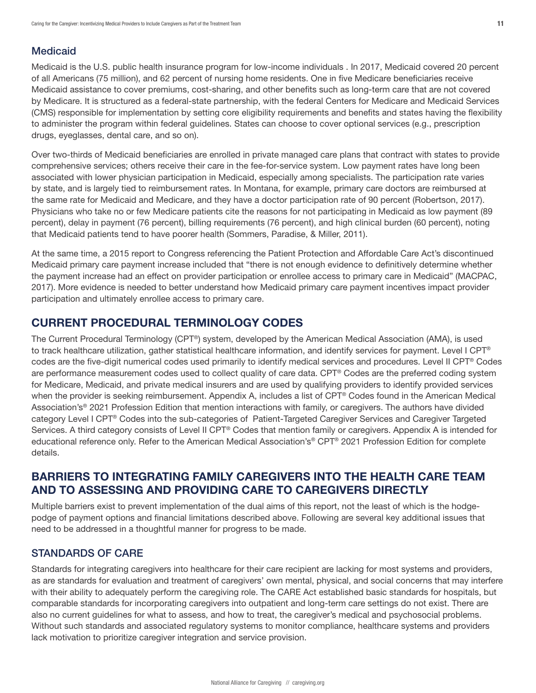# <span id="page-10-0"></span>Medicaid

Medicaid is the U.S. public health insurance program for low-income individuals . In 2017, Medicaid covered 20 percent of all Americans (75 million), and 62 percent of nursing home residents. One in five Medicare beneficiaries receive Medicaid assistance to cover premiums, cost-sharing, and other benefits such as long-term care that are not covered by Medicare. It is structured as a federal-state partnership, with the federal Centers for Medicare and Medicaid Services (CMS) responsible for implementation by setting core eligibility requirements and benefits and states having the flexibility to administer the program within federal guidelines. States can choose to cover optional services (e.g., prescription drugs, eyeglasses, dental care, and so on).

Over two-thirds of Medicaid beneficiaries are enrolled in private managed care plans that contract with states to provide comprehensive services; others receive their care in the fee-for-service system. Low payment rates have long been associated with lower physician participation in Medicaid, especially among specialists. The participation rate varies by state, and is largely tied to reimbursement rates. In Montana, for example, primary care doctors are reimbursed at the same rate for Medicaid and Medicare, and they have a doctor participation rate of 90 percent (Robertson, 2017). Physicians who take no or few Medicare patients cite the reasons for not participating in Medicaid as low payment (89 percent), delay in payment (76 percent), billing requirements (76 percent), and high clinical burden (60 percent), noting that Medicaid patients tend to have poorer health (Sommers, Paradise, & Miller, 2011).

At the same time, a 2015 report to Congress referencing the Patient Protection and Affordable Care Act's discontinued Medicaid primary care payment increase included that "there is not enough evidence to definitively determine whether the payment increase had an effect on provider participation or enrollee access to primary care in Medicaid" (MACPAC, 2017). More evidence is needed to better understand how Medicaid primary care payment incentives impact provider participation and ultimately enrollee access to primary care.

# CURRENT PROCEDURAL TERMINOLOGY CODES

The Current Procedural Terminology (CPT®) system, developed by the American Medical Association (AMA), is used to track healthcare utilization, gather statistical healthcare information, and identify services for payment. Level I CPT® codes are the five-digit numerical codes used primarily to identify medical services and procedures. Level II CPT® Codes are performance measurement codes used to collect quality of care data. CPT® Codes are the preferred coding system for Medicare, Medicaid, and private medical insurers and are used by qualifying providers to identify provided services when the provider is seeking reimbursement. Appendix A, includes a list of CPT® Codes found in the American Medical Association's® 2021 Profession Edition that mention interactions with family, or caregivers. The authors have divided category Level I CPT® Codes into the sub-categories of Patient-Targeted Caregiver Services and Caregiver Targeted Services. A third category consists of Level II CPT® Codes that mention family or caregivers. Appendix A is intended for educational reference only. Refer to the American Medical Association's® CPT® 2021 Profession Edition for complete details.

# BARRIERS TO INTEGRATING FAMILY CAREGIVERS INTO THE HEALTH CARE TEAM AND TO ASSESSING AND PROVIDING CARE TO CAREGIVERS DIRECTLY

Multiple barriers exist to prevent implementation of the dual aims of this report, not the least of which is the hodgepodge of payment options and financial limitations described above. Following are several key additional issues that need to be addressed in a thoughtful manner for progress to be made.

# STANDARDS OF CARE

Standards for integrating caregivers into healthcare for their care recipient are lacking for most systems and providers, as are standards for evaluation and treatment of caregivers' own mental, physical, and social concerns that may interfere with their ability to adequately perform the caregiving role. The CARE Act established basic standards for hospitals, but comparable standards for incorporating caregivers into outpatient and long-term care settings do not exist. There are also no current guidelines for what to assess, and how to treat, the caregiver's medical and psychosocial problems. Without such standards and associated regulatory systems to monitor compliance, healthcare systems and providers lack motivation to prioritize caregiver integration and service provision.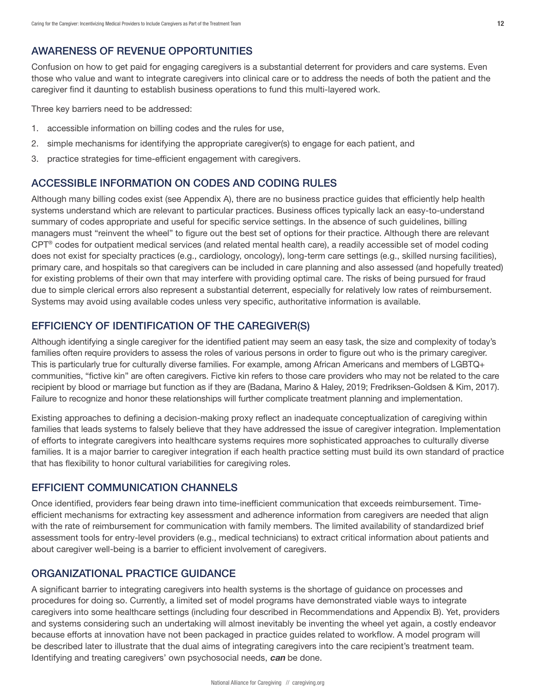# <span id="page-11-0"></span>AWARENESS OF REVENUE OPPORTUNITIES

Confusion on how to get paid for engaging caregivers is a substantial deterrent for providers and care systems. Even those who value and want to integrate caregivers into clinical care or to address the needs of both the patient and the caregiver find it daunting to establish business operations to fund this multi-layered work.

Three key barriers need to be addressed:

- 1. accessible information on billing codes and the rules for use,
- 2. simple mechanisms for identifying the appropriate caregiver(s) to engage for each patient, and
- 3. practice strategies for time-efficient engagement with caregivers.

## ACCESSIBLE INFORMATION ON CODES AND CODING RULES

Although many billing codes exist (see Appendix A), there are no business practice guides that efficiently help health systems understand which are relevant to particular practices. Business offices typically lack an easy-to-understand summary of codes appropriate and useful for specific service settings. In the absence of such guidelines, billing managers must "reinvent the wheel" to figure out the best set of options for their practice. Although there are relevant CPT® codes for outpatient medical services (and related mental health care), a readily accessible set of model coding does not exist for specialty practices (e.g., cardiology, oncology), long-term care settings (e.g., skilled nursing facilities), primary care, and hospitals so that caregivers can be included in care planning and also assessed (and hopefully treated) for existing problems of their own that may interfere with providing optimal care. The risks of being pursued for fraud due to simple clerical errors also represent a substantial deterrent, especially for relatively low rates of reimbursement. Systems may avoid using available codes unless very specific, authoritative information is available.

## EFFICIENCY OF IDENTIFICATION OF THE CAREGIVER(S)

Although identifying a single caregiver for the identified patient may seem an easy task, the size and complexity of today's families often require providers to assess the roles of various persons in order to figure out who is the primary caregiver. This is particularly true for culturally diverse families. For example, among African Americans and members of LGBTQ+ communities, "fictive kin" are often caregivers. Fictive kin refers to those care providers who may not be related to the care recipient by blood or marriage but function as if they are (Badana, Marino & Haley, 2019; Fredriksen-Goldsen & Kim, 2017). Failure to recognize and honor these relationships will further complicate treatment planning and implementation.

Existing approaches to defining a decision-making proxy reflect an inadequate conceptualization of caregiving within families that leads systems to falsely believe that they have addressed the issue of caregiver integration. Implementation of efforts to integrate caregivers into healthcare systems requires more sophisticated approaches to culturally diverse families. It is a major barrier to caregiver integration if each health practice setting must build its own standard of practice that has flexibility to honor cultural variabilities for caregiving roles.

## EFFICIENT COMMUNICATION CHANNELS

Once identified, providers fear being drawn into time-inefficient communication that exceeds reimbursement. Timeefficient mechanisms for extracting key assessment and adherence information from caregivers are needed that align with the rate of reimbursement for communication with family members. The limited availability of standardized brief assessment tools for entry-level providers (e.g., medical technicians) to extract critical information about patients and about caregiver well-being is a barrier to efficient involvement of caregivers.

## ORGANIZATIONAL PRACTICE GUIDANCE

A significant barrier to integrating caregivers into health systems is the shortage of guidance on processes and procedures for doing so. Currently, a limited set of model programs have demonstrated viable ways to integrate caregivers into some healthcare settings (including four described in Recommendations and Appendix B). Yet, providers and systems considering such an undertaking will almost inevitably be inventing the wheel yet again, a costly endeavor because efforts at innovation have not been packaged in practice guides related to workflow. A model program will be described later to illustrate that the dual aims of integrating caregivers into the care recipient's treatment team. Identifying and treating caregivers' own psychosocial needs, **can** be done.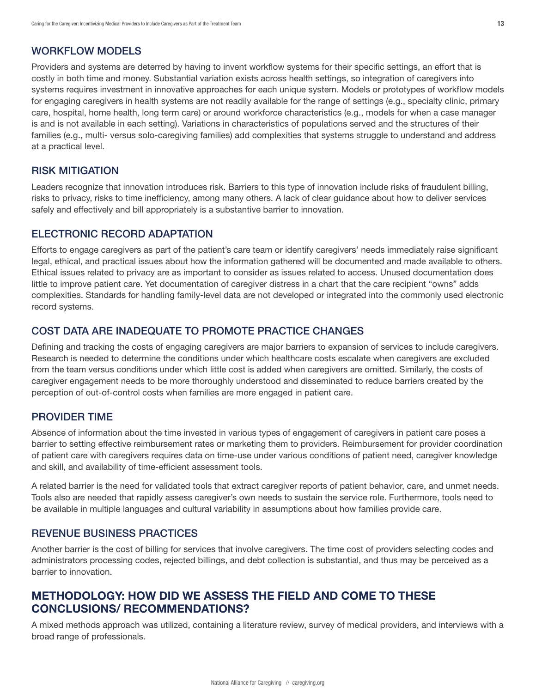## <span id="page-12-0"></span>WORKFLOW MODELS

Providers and systems are deterred by having to invent workflow systems for their specific settings, an effort that is costly in both time and money. Substantial variation exists across health settings, so integration of caregivers into systems requires investment in innovative approaches for each unique system. Models or prototypes of workflow models for engaging caregivers in health systems are not readily available for the range of settings (e.g., specialty clinic, primary care, hospital, home health, long term care) or around workforce characteristics (e.g., models for when a case manager is and is not available in each setting). Variations in characteristics of populations served and the structures of their families (e.g., multi- versus solo-caregiving families) add complexities that systems struggle to understand and address at a practical level.

#### RISK MITIGATION

Leaders recognize that innovation introduces risk. Barriers to this type of innovation include risks of fraudulent billing, risks to privacy, risks to time inefficiency, among many others. A lack of clear guidance about how to deliver services safely and effectively and bill appropriately is a substantive barrier to innovation.

#### ELECTRONIC RECORD ADAPTATION

Efforts to engage caregivers as part of the patient's care team or identify caregivers' needs immediately raise significant legal, ethical, and practical issues about how the information gathered will be documented and made available to others. Ethical issues related to privacy are as important to consider as issues related to access. Unused documentation does little to improve patient care. Yet documentation of caregiver distress in a chart that the care recipient "owns" adds complexities. Standards for handling family-level data are not developed or integrated into the commonly used electronic record systems.

## COST DATA ARE INADEQUATE TO PROMOTE PRACTICE CHANGES

Defining and tracking the costs of engaging caregivers are major barriers to expansion of services to include caregivers. Research is needed to determine the conditions under which healthcare costs escalate when caregivers are excluded from the team versus conditions under which little cost is added when caregivers are omitted. Similarly, the costs of caregiver engagement needs to be more thoroughly understood and disseminated to reduce barriers created by the perception of out-of-control costs when families are more engaged in patient care.

#### PROVIDER TIME

Absence of information about the time invested in various types of engagement of caregivers in patient care poses a barrier to setting effective reimbursement rates or marketing them to providers. Reimbursement for provider coordination of patient care with caregivers requires data on time-use under various conditions of patient need, caregiver knowledge and skill, and availability of time-efficient assessment tools.

A related barrier is the need for validated tools that extract caregiver reports of patient behavior, care, and unmet needs. Tools also are needed that rapidly assess caregiver's own needs to sustain the service role. Furthermore, tools need to be available in multiple languages and cultural variability in assumptions about how families provide care.

#### REVENUE BUSINESS PRACTICES

Another barrier is the cost of billing for services that involve caregivers. The time cost of providers selecting codes and administrators processing codes, rejected billings, and debt collection is substantial, and thus may be perceived as a barrier to innovation.

# METHODOLOGY: HOW DID WE ASSESS THE FIELD AND COME TO THESE CONCLUSIONS/ RECOMMENDATIONS?

A mixed methods approach was utilized, containing a literature review, survey of medical providers, and interviews with a broad range of professionals.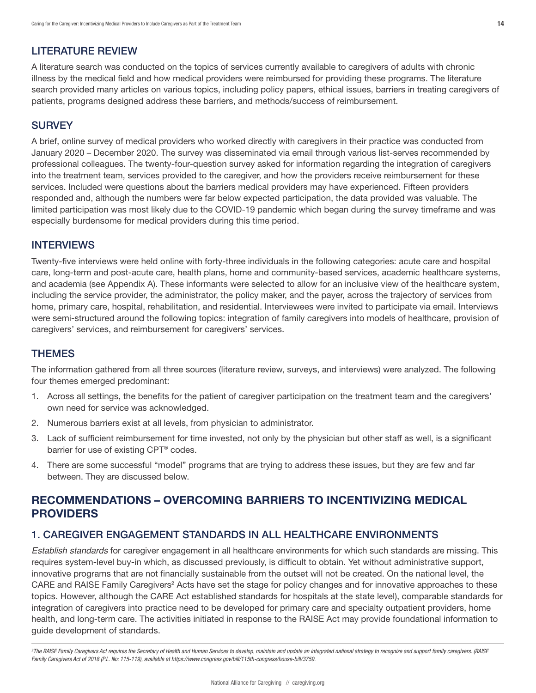# <span id="page-13-0"></span>LITERATURE REVIEW

A literature search was conducted on the topics of services currently available to caregivers of adults with chronic illness by the medical field and how medical providers were reimbursed for providing these programs. The literature search provided many articles on various topics, including policy papers, ethical issues, barriers in treating caregivers of patients, programs designed address these barriers, and methods/success of reimbursement.

## **SURVEY**

A brief, online survey of medical providers who worked directly with caregivers in their practice was conducted from January 2020 – December 2020. The survey was disseminated via email through various list-serves recommended by professional colleagues. The twenty-four-question survey asked for information regarding the integration of caregivers into the treatment team, services provided to the caregiver, and how the providers receive reimbursement for these services. Included were questions about the barriers medical providers may have experienced. Fifteen providers responded and, although the numbers were far below expected participation, the data provided was valuable. The limited participation was most likely due to the COVID-19 pandemic which began during the survey timeframe and was especially burdensome for medical providers during this time period.

## INTERVIEWS

Twenty-five interviews were held online with forty-three individuals in the following categories: acute care and hospital care, long-term and post-acute care, health plans, home and community-based services, academic healthcare systems, and academia (see Appendix A). These informants were selected to allow for an inclusive view of the healthcare system, including the service provider, the administrator, the policy maker, and the payer, across the trajectory of services from home, primary care, hospital, rehabilitation, and residential. Interviewees were invited to participate via email. Interviews were semi-structured around the following topics: integration of family caregivers into models of healthcare, provision of caregivers' services, and reimbursement for caregivers' services.

## THEMES

The information gathered from all three sources (literature review, surveys, and interviews) were analyzed. The following four themes emerged predominant:

- 1. Across all settings, the benefits for the patient of caregiver participation on the treatment team and the caregivers' own need for service was acknowledged.
- 2. Numerous barriers exist at all levels, from physician to administrator.
- 3. Lack of sufficient reimbursement for time invested, not only by the physician but other staff as well, is a significant barrier for use of existing CPT® codes.
- 4. There are some successful "model" programs that are trying to address these issues, but they are few and far between. They are discussed below.

# RECOMMENDATIONS – OVERCOMING BARRIERS TO INCENTIVIZING MEDICAL PROVIDERS

## 1. CAREGIVER ENGAGEMENT STANDARDS IN ALL HEALTHCARE ENVIRONMENTS

*Establish standards* for caregiver engagement in all healthcare environments for which such standards are missing. This requires system-level buy-in which, as discussed previously, is difficult to obtain. Yet without administrative support, innovative programs that are not financially sustainable from the outset will not be created. On the national level, the CARE and RAISE Family Caregivers<sup>2</sup> Acts have set the stage for policy changes and for innovative approaches to these topics. However, although the CARE Act established standards for hospitals at the state level), comparable standards for integration of caregivers into practice need to be developed for primary care and specialty outpatient providers, home health, and long-term care. The activities initiated in response to the RAISE Act may provide foundational information to guide development of standards.

<sup>2</sup>The RAISE Family Caregivers Act requires the Secretary of Health and Human Services to develop, maintain and update an integrated national strategy to recognize and support family caregivers. (RAISE *Family Caregivers Act of 2018 (P.L. No: 115-119), available at https://www.congress.gov/bill/115th-congress/house-bill/3759.*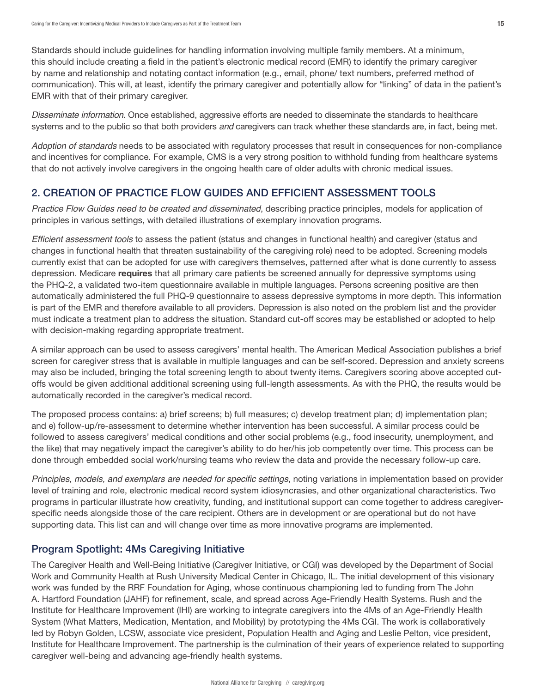<span id="page-14-0"></span>Standards should include guidelines for handling information involving multiple family members. At a minimum, this should include creating a field in the patient's electronic medical record (EMR) to identify the primary caregiver by name and relationship and notating contact information (e.g., email, phone/ text numbers, preferred method of communication). This will, at least, identify the primary caregiver and potentially allow for "linking" of data in the patient's EMR with that of their primary caregiver.

*Disseminate information*. Once established, aggressive efforts are needed to disseminate the standards to healthcare systems and to the public so that both providers *and* caregivers can track whether these standards are, in fact, being met.

*Adoption of standards* needs to be associated with regulatory processes that result in consequences for non-compliance and incentives for compliance. For example, CMS is a very strong position to withhold funding from healthcare systems that do not actively involve caregivers in the ongoing health care of older adults with chronic medical issues.

## 2. CREATION OF PRACTICE FLOW GUIDES AND EFFICIENT ASSESSMENT TOOLS

*Practice Flow Guides need to be created and disseminated*, describing practice principles, models for application of principles in various settings, with detailed illustrations of exemplary innovation programs.

Efficient assessment tools to assess the patient (status and changes in functional health) and caregiver (status and changes in functional health that threaten sustainability of the caregiving role) need to be adopted. Screening models currently exist that can be adopted for use with caregivers themselves, patterned after what is done currently to assess depression. Medicare requires that all primary care patients be screened annually for depressive symptoms using the PHQ-2, a validated two-item questionnaire available in multiple languages. Persons screening positive are then automatically administered the full PHQ-9 questionnaire to assess depressive symptoms in more depth. This information is part of the EMR and therefore available to all providers. Depression is also noted on the problem list and the provider must indicate a treatment plan to address the situation. Standard cut-off scores may be established or adopted to help with decision-making regarding appropriate treatment.

A similar approach can be used to assess caregivers' mental health. The American Medical Association publishes a brief screen for caregiver stress that is available in multiple languages and can be self-scored. Depression and anxiety screens may also be included, bringing the total screening length to about twenty items. Caregivers scoring above accepted cutoffs would be given additional additional screening using full-length assessments. As with the PHQ, the results would be automatically recorded in the caregiver's medical record.

The proposed process contains: a) brief screens; b) full measures; c) develop treatment plan; d) implementation plan; and e) follow-up/re-assessment to determine whether intervention has been successful. A similar process could be followed to assess caregivers' medical conditions and other social problems (e.g., food insecurity, unemployment, and the like) that may negatively impact the caregiver's ability to do her/his job competently over time. This process can be done through embedded social work/nursing teams who review the data and provide the necessary follow-up care.

Principles, models, and exemplars are needed for specific settings, noting variations in implementation based on provider level of training and role, electronic medical record system idiosyncrasies, and other organizational characteristics. Two programs in particular illustrate how creativity, funding, and institutional support can come together to address caregiverspecific needs alongside those of the care recipient. Others are in development or are operational but do not have supporting data. This list can and will change over time as more innovative programs are implemented.

# Program Spotlight: 4Ms Caregiving Initiative

The Caregiver Health and Well-Being Initiative (Caregiver Initiative, or CGI) was developed by the Department of Social Work and Community Health at Rush University Medical Center in Chicago, IL. The initial development of this visionary work was funded by the RRF Foundation for Aging, whose continuous championing led to funding from The John A. Hartford Foundation (JAHF) for refinement, scale, and spread across Age-Friendly Health Systems. Rush and the Institute for Healthcare Improvement (IHI) are working to integrate caregivers into the 4Ms of an Age-Friendly Health System (What Matters, Medication, Mentation, and Mobility) by prototyping the 4Ms CGI. The work is collaboratively led by Robyn Golden, LCSW, associate vice president, Population Health and Aging and Leslie Pelton, vice president, Institute for Healthcare Improvement. The partnership is the culmination of their years of experience related to supporting caregiver well-being and advancing age-friendly health systems.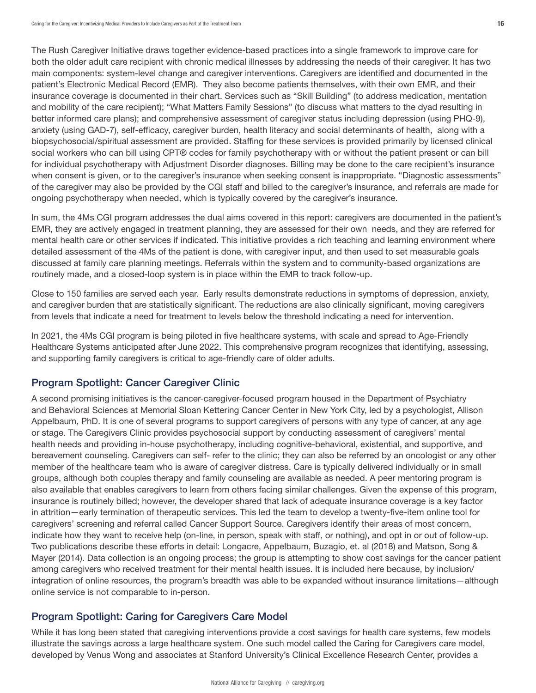<span id="page-15-0"></span>The Rush Caregiver Initiative draws together evidence-based practices into a single framework to improve care for both the older adult care recipient with chronic medical illnesses by addressing the needs of their caregiver. It has two main components: system-level change and caregiver interventions. Caregivers are identified and documented in the patient's Electronic Medical Record (EMR). They also become patients themselves, with their own EMR, and their insurance coverage is documented in their chart. Services such as "Skill Building" (to address medication, mentation and mobility of the care recipient); "What Matters Family Sessions" (to discuss what matters to the dyad resulting in better informed care plans); and comprehensive assessment of caregiver status including depression (using PHQ-9), anxiety (using GAD-7), self-efficacy, caregiver burden, health literacy and social determinants of health, along with a biopsychosocial/spiritual assessment are provided. Staffing for these services is provided primarily by licensed clinical social workers who can bill using CPT® codes for family psychotherapy with or without the patient present or can bill for individual psychotherapy with Adjustment Disorder diagnoses. Billing may be done to the care recipient's insurance when consent is given, or to the caregiver's insurance when seeking consent is inappropriate. "Diagnostic assessments" of the caregiver may also be provided by the CGI staff and billed to the caregiver's insurance, and referrals are made for ongoing psychotherapy when needed, which is typically covered by the caregiver's insurance.

In sum, the 4Ms CGI program addresses the dual aims covered in this report: caregivers are documented in the patient's EMR, they are actively engaged in treatment planning, they are assessed for their own needs, and they are referred for mental health care or other services if indicated. This initiative provides a rich teaching and learning environment where detailed assessment of the 4Ms of the patient is done, with caregiver input, and then used to set measurable goals discussed at family care planning meetings. Referrals within the system and to community-based organizations are routinely made, and a closed-loop system is in place within the EMR to track follow-up.

Close to 150 families are served each year. Early results demonstrate reductions in symptoms of depression, anxiety, and caregiver burden that are statistically significant. The reductions are also clinically significant, moving caregivers from levels that indicate a need for treatment to levels below the threshold indicating a need for intervention.

In 2021, the 4Ms CGI program is being piloted in five healthcare systems, with scale and spread to Age-Friendly Healthcare Systems anticipated after June 2022. This comprehensive program recognizes that identifying, assessing, and supporting family caregivers is critical to age-friendly care of older adults.

## Program Spotlight: Cancer Caregiver Clinic

A second promising initiatives is the cancer-caregiver-focused program housed in the Department of Psychiatry and Behavioral Sciences at Memorial Sloan Kettering Cancer Center in New York City, led by a psychologist, Allison Appelbaum, PhD. It is one of several programs to support caregivers of persons with any type of cancer, at any age or stage. The Caregivers Clinic provides psychosocial support by conducting assessment of caregivers' mental health needs and providing in-house psychotherapy, including cognitive-behavioral, existential, and supportive, and bereavement counseling. Caregivers can self- refer to the clinic; they can also be referred by an oncologist or any other member of the healthcare team who is aware of caregiver distress. Care is typically delivered individually or in small groups, although both couples therapy and family counseling are available as needed. A peer mentoring program is also available that enables caregivers to learn from others facing similar challenges. Given the expense of this program, insurance is routinely billed; however, the developer shared that lack of adequate insurance coverage is a key factor in attrition—early termination of therapeutic services. This led the team to develop a twenty-five-item online tool for caregivers' screening and referral called Cancer Support Source. Caregivers identify their areas of most concern, indicate how they want to receive help (on-line, in person, speak with staff, or nothing), and opt in or out of follow-up. Two publications describe these efforts in detail: Longacre, Appelbaum, Buzagio, et. al (2018) and Matson, Song & Mayer (2014). Data collection is an ongoing process; the group is attempting to show cost savings for the cancer patient among caregivers who received treatment for their mental health issues. It is included here because, by inclusion/ integration of online resources, the program's breadth was able to be expanded without insurance limitations—although online service is not comparable to in-person.

# Program Spotlight: Caring for Caregivers Care Model

While it has long been stated that caregiving interventions provide a cost savings for health care systems, few models illustrate the savings across a large healthcare system. One such model called the Caring for Caregivers care model, developed by Venus Wong and associates at Stanford University's Clinical Excellence Research Center, provides a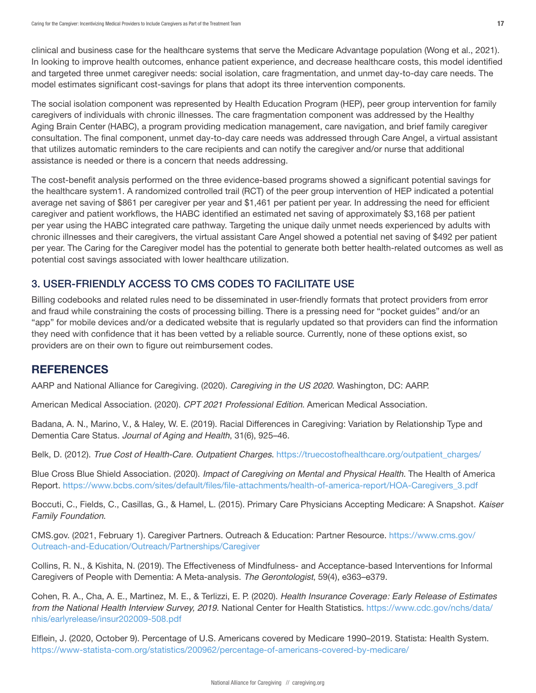<span id="page-16-0"></span>clinical and business case for the healthcare systems that serve the Medicare Advantage population (Wong et al., 2021). In looking to improve health outcomes, enhance patient experience, and decrease healthcare costs, this model identified and targeted three unmet caregiver needs: social isolation, care fragmentation, and unmet day-to-day care needs. The model estimates significant cost-savings for plans that adopt its three intervention components.

The social isolation component was represented by Health Education Program (HEP), peer group intervention for family caregivers of individuals with chronic illnesses. The care fragmentation component was addressed by the Healthy Aging Brain Center (HABC), a program providing medication management, care navigation, and brief family caregiver consultation. The final component, unmet day-to-day care needs was addressed through Care Angel, a virtual assistant that utilizes automatic reminders to the care recipients and can notify the caregiver and/or nurse that additional assistance is needed or there is a concern that needs addressing.

The cost-benefit analysis performed on the three evidence-based programs showed a significant potential savings for the healthcare system1. A randomized controlled trail (RCT) of the peer group intervention of HEP indicated a potential average net saving of \$861 per caregiver per year and \$1,461 per patient per year. In addressing the need for efficient caregiver and patient workflows, the HABC identified an estimated net saving of approximately \$3,168 per patient per year using the HABC integrated care pathway. Targeting the unique daily unmet needs experienced by adults with chronic illnesses and their caregivers, the virtual assistant Care Angel showed a potential net saving of \$492 per patient per year. The Caring for the Caregiver model has the potential to generate both better health-related outcomes as well as potential cost savings associated with lower healthcare utilization.

# 3. USER-FRIENDLY ACCESS TO CMS CODES TO FACILITATE USE

Billing codebooks and related rules need to be disseminated in user-friendly formats that protect providers from error and fraud while constraining the costs of processing billing. There is a pressing need for "pocket guides" and/or an "app" for mobile devices and/or a dedicated website that is regularly updated so that providers can find the information they need with confidence that it has been vetted by a reliable source. Currently, none of these options exist, so providers are on their own to figure out reimbursement codes.

# **REFERENCES**

AARP and National Alliance for Caregiving. (2020). *Caregiving in the US 2020*. Washington, DC: AARP.

American Medical Association. (2020). *CPT 2021 Professional Edition*. American Medical Association.

Badana, A. N., Marino, V., & Haley, W. E. (2019). Racial Differences in Caregiving: Variation by Relationship Type and Dementia Care Status. *Journal of Aging and Health*, 31(6), 925–46.

Belk, D. (2012). *True Cost of Health-Care. Outpatient Charges*. [https://truecostofhealthcare.org/outpatient\\_charges/](https://truecostofhealthcare.org/outpatient_charges/)

Blue Cross Blue Shield Association. (2020). *Impact of Caregiving on Mental and Physical Health*. The Health of America Report. [https://www.bcbs.com/sites/default/files/file-attachments/health-of-america-report/HOA-Caregivers\\_3.pdf](https://www.bcbs.com/sites/default/files/file-attachments/health-of-america-report/HOA-Caregivers_3.pdf)

Boccuti, C., Fields, C., Casillas, G., & Hamel, L. (2015). Primary Care Physicians Accepting Medicare: A Snapshot. *Kaiser Family Foundation*.

CMS.gov. (2021, February 1). Caregiver Partners. Outreach & Education: Partner Resource. [https://www.cms.gov/](https://www.cms.gov/Outreach-and-Education/Outreach/Partnerships/Caregiver) [Outreach-and-Education/Outreach/Partnerships/Caregiver](https://www.cms.gov/Outreach-and-Education/Outreach/Partnerships/Caregiver)

Collins, R. N., & Kishita, N. (2019). The Effectiveness of Mindfulness- and Acceptance-based Interventions for Informal Caregivers of People with Dementia: A Meta-analysis. *The Gerontologist*, 59(4), e363–e379.

Cohen, R. A., Cha, A. E., Martinez, M. E., & Terlizzi, E. P. (2020). *Health Insurance Coverage: Early Release of Estimates from the National Health Interview Survey, 2019*. National Center for Health Statistics. [https://www.cdc.gov/nchs/data/](https://www.cdc.gov/nchs/data/nhis/earlyrelease/insur202009-508.pdf) [nhis/earlyrelease/insur202009-508.pdf](https://www.cdc.gov/nchs/data/nhis/earlyrelease/insur202009-508.pdf)

Elflein, J. (2020, October 9). Percentage of U.S. Americans covered by Medicare 1990–2019. Statista: Health System. <https://www-statista-com.org/statistics/200962/percentage-of-americans-covered-by-medicare/>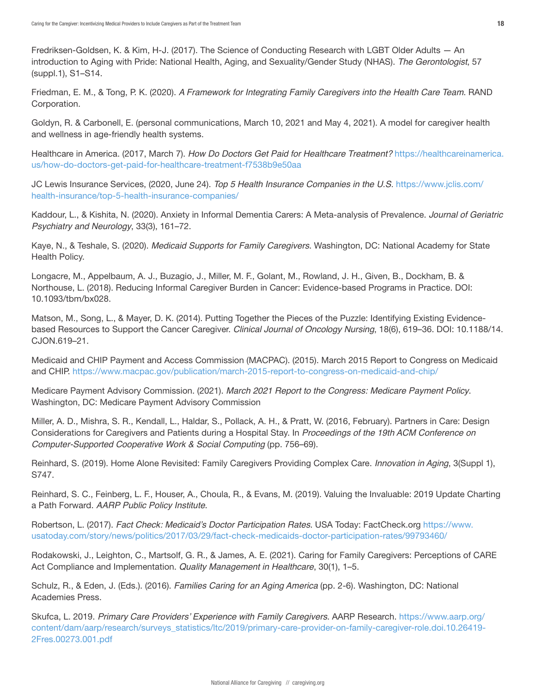Fredriksen-Goldsen, K. & Kim, H-J. (2017). The Science of Conducting Research with LGBT Older Adults — An introduction to Aging with Pride: National Health, Aging, and Sexuality/Gender Study (NHAS). *The Gerontologist*, 57 (suppl.1), S1–S14.

Friedman, E. M., & Tong, P. K. (2020). *A Framework for Integrating Family Caregivers into the Health Care Team*. RAND Corporation.

Goldyn, R. & Carbonell, E. (personal communications, March 10, 2021 and May 4, 2021). A model for caregiver health and wellness in age-friendly health systems.

Healthcare in America. (2017, March 7). *How Do Doctors Get Paid for Healthcare Treatment?* [https://healthcareinamerica.](https://healthcareinamerica.us/how-do-doctors-get-paid-for-healthcare-treatment-f7538b9e50aa) [us/how-do-doctors-get-paid-for-healthcare-treatment-f7538b9e50aa](https://healthcareinamerica.us/how-do-doctors-get-paid-for-healthcare-treatment-f7538b9e50aa)

JC Lewis Insurance Services, (2020, June 24). *Top 5 Health Insurance Companies in the U.S.* [https://www.jclis.com/](https://www.jclis.com/health-insurance/top-5-health-insurance-companies/) [health-insurance/top-5-health-insurance-companies/](https://www.jclis.com/health-insurance/top-5-health-insurance-companies/)

Kaddour, L., & Kishita, N. (2020). Anxiety in Informal Dementia Carers: A Meta-analysis of Prevalence. *Journal of Geriatric Psychiatry and Neurology*, 33(3), 161–72.

Kaye, N., & Teshale, S. (2020). *Medicaid Supports for Family Caregivers*. Washington, DC: National Academy for State Health Policy.

Longacre, M., Appelbaum, A. J., Buzagio, J., Miller, M. F., Golant, M., Rowland, J. H., Given, B., Dockham, B. & Northouse, L. (2018). Reducing Informal Caregiver Burden in Cancer: Evidence-based Programs in Practice. DOI: 10.1093/tbm/bx028.

Matson, M., Song, L., & Mayer, D. K. (2014). Putting Together the Pieces of the Puzzle: Identifying Existing Evidencebased Resources to Support the Cancer Caregiver. *Clinical Journal of Oncology Nursing*, 18(6), 619–36. DOI: 10.1188/14. CJON.619–21.

Medicaid and CHIP Payment and Access Commission (MACPAC). (2015). March 2015 Report to Congress on Medicaid and CHIP. <https://www.macpac.gov/publication/march-2015-report-to-congress-on-medicaid-and-chip/>

Medicare Payment Advisory Commission. (2021). *March 2021 Report to the Congress: Medicare Payment Policy*. Washington, DC: Medicare Payment Advisory Commission

Miller, A. D., Mishra, S. R., Kendall, L., Haldar, S., Pollack, A. H., & Pratt, W. (2016, February). Partners in Care: Design Considerations for Caregivers and Patients during a Hospital Stay. In *Proceedings of the 19th ACM Conference on Computer-Supported Cooperative Work & Social Computing* (pp. 756–69).

Reinhard, S. (2019). Home Alone Revisited: Family Caregivers Providing Complex Care. *Innovation in Aging*, 3(Suppl 1), S747.

Reinhard, S. C., Feinberg, L. F., Houser, A., Choula, R., & Evans, M. (2019). Valuing the Invaluable: 2019 Update Charting a Path Forward. *AARP Public Policy Institute*.

Robertson, L. (2017). Fact Check: Medicaid's Doctor Participation Rates. USA Today: FactCheck.org [https://www.](https://www.usatoday.com/story/news/politics/2017/03/29/fact-check-medicaids-doctor-participation-rates/99793460/) [usatoday.com/story/news/politics/2017/03/29/fact-check-medicaids-doctor-participation-rates/99793460/](https://www.usatoday.com/story/news/politics/2017/03/29/fact-check-medicaids-doctor-participation-rates/99793460/)

Rodakowski, J., Leighton, C., Martsolf, G. R., & James, A. E. (2021). Caring for Family Caregivers: Perceptions of CARE Act Compliance and Implementation. *Quality Management in Healthcare*, 30(1), 1–5.

Schulz, R., & Eden, J. (Eds.). (2016). *Families Caring for an Aging America* (pp. 2-6). Washington, DC: National Academies Press.

Skufca, L. 2019. Primary Care Providers' Experience with Family Caregivers. AARP Research. [https://www.aarp.org/](https://www.aarp.org/content/dam/aarp/research/surveys_statistics/ltc/2019/primary-care-provider-on-family-caregiver-role.doi.10.26419-2Fres.00273.001.pdf) [content/dam/aarp/research/surveys\\_statistics/ltc/2019/primary-care-provider-on-family-caregiver-role.doi.10.26419-](https://www.aarp.org/content/dam/aarp/research/surveys_statistics/ltc/2019/primary-care-provider-on-family-caregiver-role.doi.10.26419-2Fres.00273.001.pdf) [2Fres.00273.001.pdf](https://www.aarp.org/content/dam/aarp/research/surveys_statistics/ltc/2019/primary-care-provider-on-family-caregiver-role.doi.10.26419-2Fres.00273.001.pdf)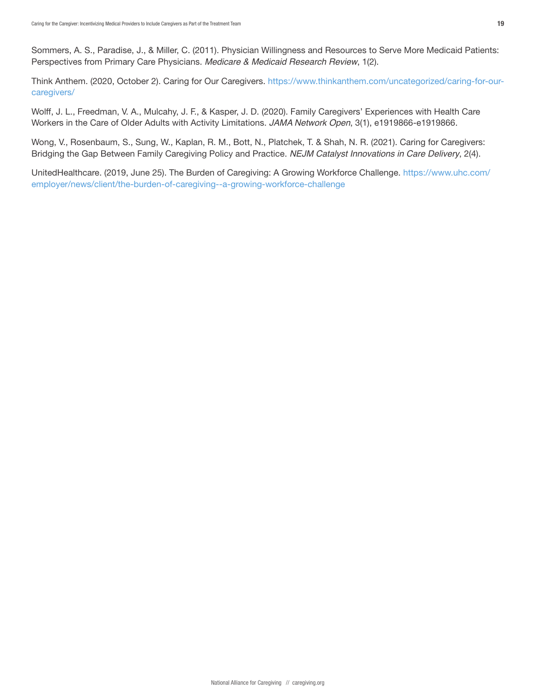Sommers, A. S., Paradise, J., & Miller, C. (2011). Physician Willingness and Resources to Serve More Medicaid Patients: Perspectives from Primary Care Physicians. *Medicare & Medicaid Research Review*, 1(2).

Think Anthem. (2020, October 2). Caring for Our Caregivers. [https://www.thinkanthem.com/uncategorized/caring-for-our](https://www.thinkanthem.com/uncategorized/caring-for-our-caregivers/)[caregivers/](https://www.thinkanthem.com/uncategorized/caring-for-our-caregivers/)

Wolff, J. L., Freedman, V. A., Mulcahy, J. F., & Kasper, J. D. (2020). Family Caregivers' Experiences with Health Care Workers in the Care of Older Adults with Activity Limitations. *JAMA Network Open*, 3(1), e1919866-e1919866.

Wong, V., Rosenbaum, S., Sung, W., Kaplan, R. M., Bott, N., Platchek, T. & Shah, N. R. (2021). Caring for Caregivers: Bridging the Gap Between Family Caregiving Policy and Practice. *NEJM Catalyst Innovations in Care Delivery*, 2(4).

UnitedHealthcare. (2019, June 25). The Burden of Caregiving: A Growing Workforce Challenge. [https://www.uhc.com/](https://www.uhc.com/employer/news/client/the-burden-of-caregiving--a-growing-workforce-challenge) [employer/news/client/the-burden-of-caregiving--a-growing-workforce-challenge](https://www.uhc.com/employer/news/client/the-burden-of-caregiving--a-growing-workforce-challenge)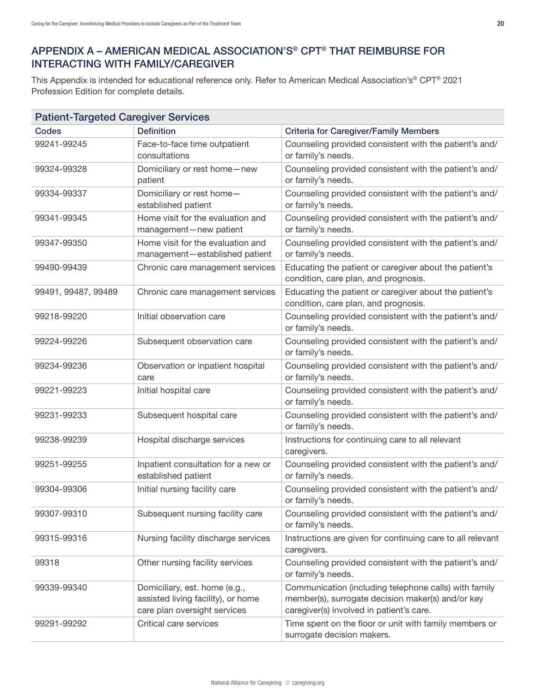# <span id="page-19-0"></span>APPENDIX A – AMERICAN MEDICAL ASSOCIATION'S® CPT® THAT REIMBURSE FOR INTERACTING WITH FAMILY/CAREGIVER

This Appendix is intended for educational reference only. Refer to American Medical Association's® CPT® 2021 Profession Edition for complete details.

| <b>Patient-Targeted Caregiver Services</b> |                                                                                                     |                                                                                                                                                        |  |  |
|--------------------------------------------|-----------------------------------------------------------------------------------------------------|--------------------------------------------------------------------------------------------------------------------------------------------------------|--|--|
| Codes                                      | <b>Definition</b>                                                                                   | <b>Criteria for Caregiver/Family Members</b>                                                                                                           |  |  |
| 99241-99245                                | Face-to-face time outpatient<br>consultations                                                       | Counseling provided consistent with the patient's and/<br>or family's needs.                                                                           |  |  |
| 99324-99328                                | Domiciliary or rest home-new<br>patient                                                             | Counseling provided consistent with the patient's and/<br>or family's needs.                                                                           |  |  |
| 99334-99337                                | Domiciliary or rest home-<br>established patient                                                    | Counseling provided consistent with the patient's and/<br>or family's needs.                                                                           |  |  |
| 99341-99345                                | Home visit for the evaluation and<br>management-new patient                                         | Counseling provided consistent with the patient's and/<br>or family's needs.                                                                           |  |  |
| 99347-99350                                | Home visit for the evaluation and<br>management-established patient                                 | Counseling provided consistent with the patient's and/<br>or family's needs.                                                                           |  |  |
| 99490-99439                                | Chronic care management services                                                                    | Educating the patient or caregiver about the patient's<br>condition, care plan, and prognosis.                                                         |  |  |
| 99491, 99487, 99489                        | Chronic care management services                                                                    | Educating the patient or caregiver about the patient's<br>condition, care plan, and prognosis.                                                         |  |  |
| 99218-99220                                | Initial observation care                                                                            | Counseling provided consistent with the patient's and/<br>or family's needs.                                                                           |  |  |
| 99224-99226                                | Subsequent observation care                                                                         | Counseling provided consistent with the patient's and/<br>or family's needs.                                                                           |  |  |
| 99234-99236                                | Observation or inpatient hospital<br>care                                                           | Counseling provided consistent with the patient's and/<br>or family's needs.                                                                           |  |  |
| 99221-99223                                | Initial hospital care                                                                               | Counseling provided consistent with the patient's and/<br>or family's needs.                                                                           |  |  |
| 99231-99233                                | Subsequent hospital care                                                                            | Counseling provided consistent with the patient's and/<br>or family's needs.                                                                           |  |  |
| 99238-99239                                | Hospital discharge services                                                                         | Instructions for continuing care to all relevant<br>caregivers.                                                                                        |  |  |
| 99251-99255                                | Inpatient consultation for a new or<br>established patient                                          | Counseling provided consistent with the patient's and/<br>or family's needs.                                                                           |  |  |
| 99304-99306                                | Initial nursing facility care                                                                       | Counseling provided consistent with the patient's and/<br>or family's needs.                                                                           |  |  |
| 99307-99310                                | Subsequent nursing facility care                                                                    | Counseling provided consistent with the patient's and/<br>or family's needs.                                                                           |  |  |
| 99315-99316                                | Nursing facility discharge services                                                                 | Instructions are given for continuing care to all relevant<br>caregivers.                                                                              |  |  |
| 99318                                      | Other nursing facility services                                                                     | Counseling provided consistent with the patient's and/<br>or family's needs.                                                                           |  |  |
| 99339-99340                                | Domiciliary, est. home (e.g.,<br>assisted living facility), or home<br>care plan oversight services | Communication (including telephone calls) with family<br>member(s), surrogate decision maker(s) and/or key<br>caregiver(s) involved in patient's care. |  |  |
| 99291-99292                                | Critical care services                                                                              | Time spent on the floor or unit with family members or<br>surrogate decision makers.                                                                   |  |  |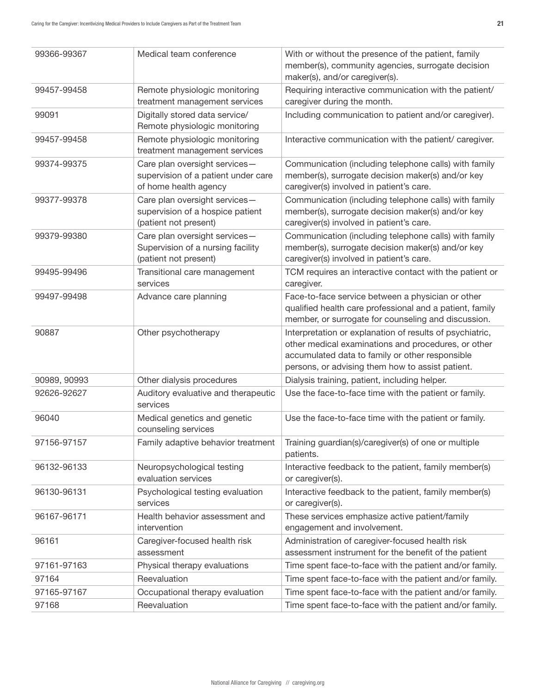| 99366-99367  | Medical team conference                                                                       | With or without the presence of the patient, family<br>member(s), community agencies, surrogate decision<br>maker(s), and/or caregiver(s).                           |
|--------------|-----------------------------------------------------------------------------------------------|----------------------------------------------------------------------------------------------------------------------------------------------------------------------|
| 99457-99458  | Remote physiologic monitoring<br>treatment management services                                | Requiring interactive communication with the patient/<br>caregiver during the month.                                                                                 |
| 99091        | Digitally stored data service/<br>Remote physiologic monitoring                               | Including communication to patient and/or caregiver).                                                                                                                |
| 99457-99458  | Remote physiologic monitoring<br>treatment management services                                | Interactive communication with the patient/ caregiver.                                                                                                               |
| 99374-99375  | Care plan oversight services-<br>supervision of a patient under care<br>of home health agency | Communication (including telephone calls) with family<br>member(s), surrogate decision maker(s) and/or key<br>caregiver(s) involved in patient's care.               |
| 99377-99378  | Care plan oversight services-<br>supervision of a hospice patient<br>(patient not present)    | Communication (including telephone calls) with family<br>member(s), surrogate decision maker(s) and/or key<br>caregiver(s) involved in patient's care.               |
| 99379-99380  | Care plan oversight services-<br>Supervision of a nursing facility<br>(patient not present)   | Communication (including telephone calls) with family<br>member(s), surrogate decision maker(s) and/or key<br>caregiver(s) involved in patient's care.               |
| 99495-99496  | Transitional care management<br>services                                                      | TCM requires an interactive contact with the patient or<br>caregiver.                                                                                                |
| 99497-99498  | Advance care planning                                                                         | Face-to-face service between a physician or other<br>qualified health care professional and a patient, family<br>member, or surrogate for counseling and discussion. |
| 90887        | Other psychotherapy                                                                           | Interpretation or explanation of results of psychiatric,<br>other medical examinations and procedures, or other                                                      |
|              |                                                                                               | accumulated data to family or other responsible<br>persons, or advising them how to assist patient.                                                                  |
| 90989, 90993 | Other dialysis procedures                                                                     | Dialysis training, patient, including helper.                                                                                                                        |
| 92626-92627  | Auditory evaluative and therapeutic<br>services                                               | Use the face-to-face time with the patient or family.                                                                                                                |
| 96040        | Medical genetics and genetic<br>counseling services                                           | Use the face-to-face time with the patient or family.                                                                                                                |
| 97156-97157  | Family adaptive behavior treatment                                                            | Training guardian(s)/caregiver(s) of one or multiple<br>patients.                                                                                                    |
| 96132-96133  | Neuropsychological testing<br>evaluation services                                             | Interactive feedback to the patient, family member(s)<br>or caregiver(s).                                                                                            |
| 96130-96131  | Psychological testing evaluation<br>services                                                  | Interactive feedback to the patient, family member(s)<br>or caregiver(s).                                                                                            |
| 96167-96171  | Health behavior assessment and<br>intervention                                                | These services emphasize active patient/family<br>engagement and involvement.                                                                                        |
| 96161        | Caregiver-focused health risk<br>assessment                                                   | Administration of caregiver-focused health risk<br>assessment instrument for the benefit of the patient                                                              |
| 97161-97163  | Physical therapy evaluations                                                                  | Time spent face-to-face with the patient and/or family.                                                                                                              |
| 97164        | Reevaluation                                                                                  | Time spent face-to-face with the patient and/or family.                                                                                                              |
| 97165-97167  | Occupational therapy evaluation                                                               | Time spent face-to-face with the patient and/or family.<br>Time spent face-to-face with the patient and/or family.                                                   |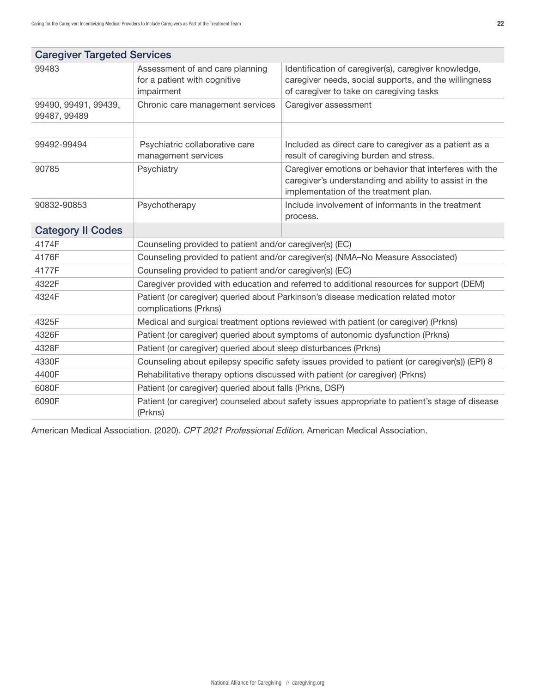| <b>Caregiver Targeted Services</b>   |                                                                                                            |                                                                                                                                                            |  |  |  |
|--------------------------------------|------------------------------------------------------------------------------------------------------------|------------------------------------------------------------------------------------------------------------------------------------------------------------|--|--|--|
| 99483                                | Assessment of and care planning<br>for a patient with cognitive<br>impairment                              | Identification of caregiver(s), caregiver knowledge,<br>caregiver needs, social supports, and the willingness<br>of caregiver to take on caregiving tasks  |  |  |  |
| 99490, 99491, 99439,<br>99487, 99489 | Chronic care management services                                                                           | Caregiver assessment                                                                                                                                       |  |  |  |
|                                      |                                                                                                            |                                                                                                                                                            |  |  |  |
| 99492-99494                          | Psychiatric collaborative care<br>management services                                                      | Included as direct care to caregiver as a patient as a<br>result of caregiving burden and stress.                                                          |  |  |  |
| 90785                                | Psychiatry                                                                                                 | Caregiver emotions or behavior that interferes with the<br>caregiver's understanding and ability to assist in the<br>implementation of the treatment plan. |  |  |  |
| 90832-90853                          | Psychotherapy                                                                                              | Include involvement of informants in the treatment<br>process.                                                                                             |  |  |  |
| <b>Category II Codes</b>             |                                                                                                            |                                                                                                                                                            |  |  |  |
| 4174F                                | Counseling provided to patient and/or caregiver(s) (EC)                                                    |                                                                                                                                                            |  |  |  |
| 4176F                                | Counseling provided to patient and/or caregiver(s) (NMA-No Measure Associated)                             |                                                                                                                                                            |  |  |  |
| 4177F                                | Counseling provided to patient and/or caregiver(s) (EC)                                                    |                                                                                                                                                            |  |  |  |
| 4322F                                |                                                                                                            | Caregiver provided with education and referred to additional resources for support (DEM)                                                                   |  |  |  |
| 4324F                                | Patient (or caregiver) queried about Parkinson's disease medication related motor<br>complications (Prkns) |                                                                                                                                                            |  |  |  |
| 4325F                                | Medical and surgical treatment options reviewed with patient (or caregiver) (Prkns)                        |                                                                                                                                                            |  |  |  |
| 4326F                                | Patient (or caregiver) queried about symptoms of autonomic dysfunction (Prkns)                             |                                                                                                                                                            |  |  |  |
| 4328F                                | Patient (or caregiver) queried about sleep disturbances (Prkns)                                            |                                                                                                                                                            |  |  |  |
| 4330F                                | Counseling about epilepsy specific safety issues provided to patient (or caregiver(s)) (EPI) 8             |                                                                                                                                                            |  |  |  |
| 4400F                                | Rehabilitative therapy options discussed with patient (or caregiver) (Prkns)                               |                                                                                                                                                            |  |  |  |
| 6080F                                | Patient (or caregiver) queried about falls (Prkns, DSP)                                                    |                                                                                                                                                            |  |  |  |
| 6090F                                | Patient (or caregiver) counseled about safety issues appropriate to patient's stage of disease<br>(Prkns)  |                                                                                                                                                            |  |  |  |

American Medical Association. (2020). *CPT 2021 Professional Edition*. American Medical Association.